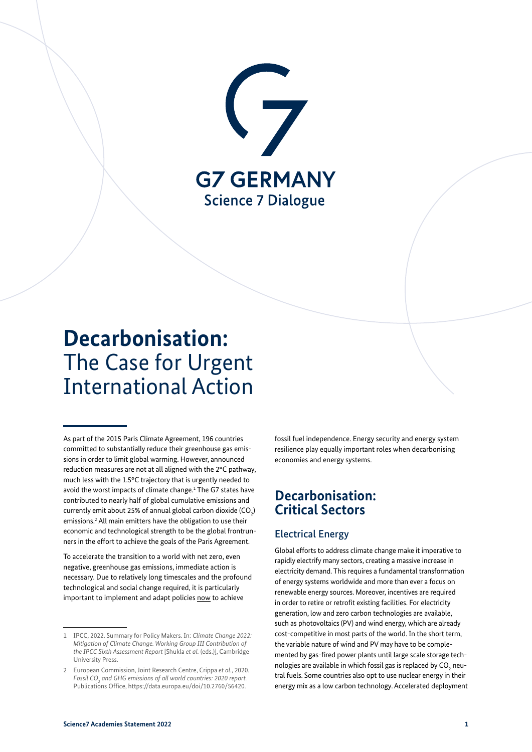

# **Decarbonisation:** The Case for Urgent International Action

As part of the 2015 Paris Climate Agreement, 196 countries committed to substantially reduce their greenhouse gas emissions in order to limit global warming. However, announced reduction measures are not at all aligned with the 2°C pathway, much less with the 1.5°C trajectory that is urgently needed to avoid the worst impacts of climate change.<sup>1</sup> The G7 states have contributed to nearly half of global cumulative emissions and currently emit about 25% of annual global carbon dioxide (CO $_{2}$ ) emissions.<sup>2</sup> All main emitters have the obligation to use their economic and technological strength to be the global frontrunners in the effort to achieve the goals of the Paris Agreement.

To accelerate the transition to a world with net zero, even negative, greenhouse gas emissions, immediate action is necessary. Due to relatively long timescales and the profound technological and social change required, it is particularly important to implement and adapt policies now to achieve

fossil fuel independence. Energy security and energy system resilience play equally important roles when decarbonising economies and energy systems.

# **Decarbonisation: Critical Sectors**

### Electrical Energy

Global efforts to address climate change make it imperative to rapidly electrify many sectors, creating a massive increase in electricity demand. This requires a fundamental transformation of energy systems worldwide and more than ever a focus on renewable energy sources. Moreover, incentives are required in order to retire or retrofit existing facilities. For electricity generation, low and zero carbon technologies are available, such as photovoltaics (PV) and wind energy, which are already cost-competitive in most parts of the world. In the short term, the variable nature of wind and PV may have to be complemented by gas-fired power plants until large scale storage technologies are available in which fossil gas is replaced by  $\mathsf{CO}_2$  neutral fuels. Some countries also opt to use nuclear energy in their energy mix as a low carbon technology. Accelerated deployment

<sup>1</sup> IPCC, 2022. Summary for Policy Makers. In: *Climate Change 2022: Mitigation of Climate Change. Working Group III Contribution of the IPCC Sixth Assessment Report* [Shukla *et al.* (eds.)], Cambridge University Press.

<sup>2</sup> European Commission, Joint Research Centre, Crippa *et al.*, 2020. *Fossil CO2 and GHG emissions of all world countries: 2020 report.* Publications Office, [https://data.europa.eu/doi/10.2760/56420.](https://data.europa.eu/doi/10.2760/56420)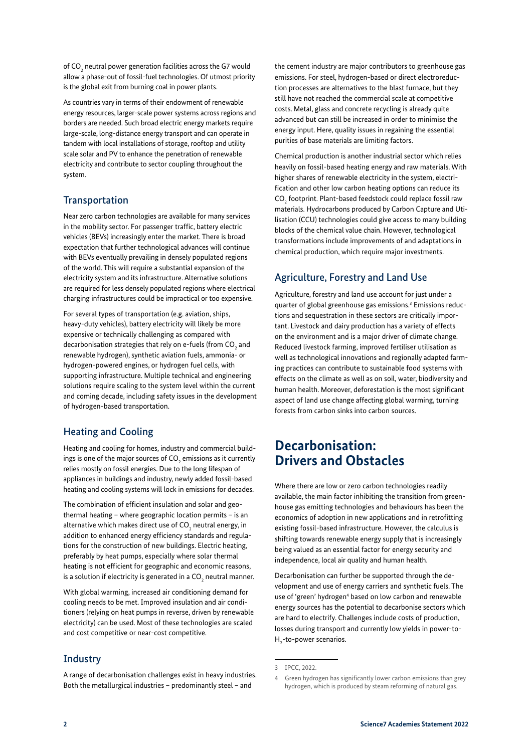of  $\mathsf{CO}_2$  neutral power generation facilities across the G7 would allow a phase-out of fossil-fuel technologies. Of utmost priority is the global exit from burning coal in power plants.

As countries vary in terms of their endowment of renewable energy resources, larger-scale power systems across regions and borders are needed. Such broad electric energy markets require large-scale, long-distance energy transport and can operate in tandem with local installations of storage, rooftop and utility scale solar and PV to enhance the penetration of renewable electricity and contribute to sector coupling throughout the system.

### **Transportation**

Near zero carbon technologies are available for many services in the mobility sector. For passenger traffic, battery electric vehicles (BEVs) increasingly enter the market. There is broad expectation that further technological advances will continue with BEVs eventually prevailing in densely populated regions of the world. This will require a substantial expansion of the electricity system and its infrastructure. Alternative solutions are required for less densely populated regions where electrical charging infrastructures could be impractical or too expensive.

For several types of transportation (e.g. aviation, ships, heavy-duty vehicles), battery electricity will likely be more expensive or technically challenging as compared with decarbonisation strategies that rely on e-fuels (from CO $_{\tiny 2}$  and renewable hydrogen), synthetic aviation fuels, ammonia- or hydrogen-powered engines, or hydrogen fuel cells, with supporting infrastructure. Multiple technical and engineering solutions require scaling to the system level within the current and coming decade, including safety issues in the development of hydrogen-based transportation.

## Heating and Cooling

Heating and cooling for homes, industry and commercial buildings is one of the major sources of CO<sub>2</sub> emissions as it currently relies mostly on fossil energies. Due to the long lifespan of appliances in buildings and industry, newly added fossil-based heating and cooling systems will lock in emissions for decades.

The combination of efficient insulation and solar and geothermal heating – where geographic location permits – is an alternative which makes direct use of CO $_{\textrm{\tiny{2}}}$  neutral energy, in addition to enhanced energy efficiency standards and regulations for the construction of new buildings. Electric heating, preferably by heat pumps, especially where solar thermal heating is not efficient for geographic and economic reasons, is a solution if electricity is generated in a CO $_{_2}$  neutral manner.

With global warming, increased air conditioning demand for cooling needs to be met. Improved insulation and air conditioners (relying on heat pumps in reverse, driven by renewable electricity) can be used. Most of these technologies are scaled and cost competitive or near-cost competitive.

### **Industry**

A range of decarbonisation challenges exist in heavy industries. Both the metallurgical industries – predominantly steel – and

the cement industry are major contributors to greenhouse gas emissions. For steel, hydrogen-based or direct electroreduction processes are alternatives to the blast furnace, but they still have not reached the commercial scale at competitive costs. Metal, glass and concrete recycling is already quite advanced but can still be increased in order to minimise the energy input. Here, quality issues in regaining the essential purities of base materials are limiting factors.

Chemical production is another industrial sector which relies heavily on fossil-based heating energy and raw materials. With higher shares of renewable electricity in the system, electrification and other low carbon heating options can reduce its  $\mathrm{CO}_2$  footprint. Plant-based feedstock could replace fossil raw materials. Hydrocarbons produced by Carbon Capture and Utilisation (CCU) technologies could give access to many building blocks of the chemical value chain. However, technological transformations include improvements of and adaptations in chemical production, which require major investments.

### Agriculture, Forestry and Land Use

Agriculture, forestry and land use account for just under a quarter of global greenhouse gas emissions.<sup>3</sup> Emissions reductions and sequestration in these sectors are critically important. Livestock and dairy production has a variety of effects on the environment and is a major driver of climate change. Reduced livestock farming, improved fertiliser utilisation as well as technological innovations and regionally adapted farming practices can contribute to sustainable food systems with effects on the climate as well as on soil, water, biodiversity and human health. Moreover, deforestation is the most significant aspect of land use change affecting global warming, turning forests from carbon sinks into carbon sources.

# **Decarbonisation: Drivers and Obstacles**

Where there are low or zero carbon technologies readily available, the main factor inhibiting the transition from greenhouse gas emitting technologies and behaviours has been the economics of adoption in new applications and in retrofitting existing fossil-based infrastructure. However, the calculus is shifting towards renewable energy supply that is increasingly being valued as an essential factor for energy security and independence, local air quality and human health.

Decarbonisation can further be supported through the development and use of energy carriers and synthetic fuels. The use of 'green' hydrogen<sup>4</sup> based on low carbon and renewable energy sources has the potential to decarbonise sectors which are hard to electrify. Challenges include costs of production, losses during transport and currently low yields in power-to- $H_2$ -to-power scenarios.

<sup>3</sup> IPCC, 2022.

<sup>4</sup> Green hydrogen has significantly lower carbon emissions than grey hydrogen, which is produced by steam reforming of natural gas.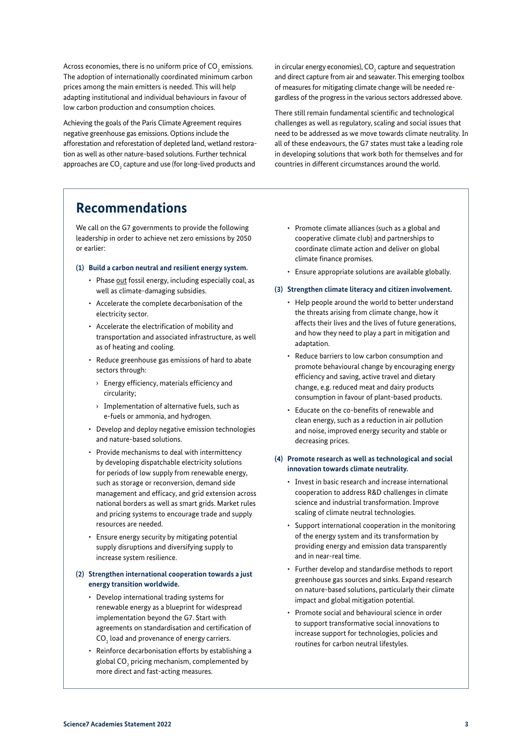Across economies, there is no uniform price of CO<sub>2</sub> emissions. The adoption of internationally coordinated minimum carbon prices among the main emitters is needed. This will help adapting institutional and individual behaviours in favour of low carbon production and consumption choices.

Achieving the goals of the Paris Climate Agreement requires negative greenhouse gas emissions. Options include the afforestation and reforestation of depleted land, wetland restoration as well as other nature-based solutions. Further technical approaches are  $\mathsf{CO}_2$  capture and use (for long-lived products and

in circular energy economies),  $\mathsf{CO}_2$  capture and sequestration and direct capture from air and seawater. This emerging toolbox of measures for mitigating climate change will be needed regardless of the progress in the various sectors addressed above.

There still remain fundamental scientific and technological challenges as well as regulatory, scaling and social issues that need to be addressed as we move towards climate neutrality. In all of these endeavours, the G7 states must take a leading role in developing solutions that work both for themselves and for countries in different circumstances around the world.

# **Recommendations**

We call on the G7 governments to provide the following leadership in order to achieve net zero emissions by 2050 or earlier:

#### **(1) Build a carbon neutral and resilient energy system.**

- Phase out fossil energy, including especially coal, as well as climate-damaging subsidies.
- Accelerate the complete decarbonisation of the electricity sector.
- Accelerate the electrification of mobility and transportation and associated infrastructure, as well as of heating and cooling.
- Reduce greenhouse gas emissions of hard to abate sectors through:
	- › Energy efficiency, materials efficiency and circularity;
	- › Implementation of alternative fuels, such as e-fuels or ammonia, and hydrogen.
- Develop and deploy negative emission technologies and nature-based solutions.
- Provide mechanisms to deal with intermittency by developing dispatchable electricity solutions for periods of low supply from renewable energy, such as storage or reconversion, demand side management and efficacy, and grid extension across national borders as well as smart grids. Market rules and pricing systems to encourage trade and supply resources are needed.
- Ensure energy security by mitigating potential supply disruptions and diversifying supply to increase system resilience.

#### **(2) Strengthen international cooperation towards a just energy transition worldwide.**

- Develop international trading systems for renewable energy as a blueprint for widespread implementation beyond the G7. Start with agreements on standardisation and certification of  $\mathsf{CO}_\mathsf{2}$  load and provenance of energy carriers.
- Reinforce decarbonisation efforts by establishing a global CO $_{\tiny 2}$  pricing mechanism, complemented by more direct and fast-acting measures.
- Promote climate alliances (such as a global and cooperative climate club) and partnerships to coordinate climate action and deliver on global climate finance promises.
- Ensure appropriate solutions are available globally.

#### **(3) Strengthen climate literacy and citizen involvement.**

- Help people around the world to better understand the threats arising from climate change, how it affects their lives and the lives of future generations, and how they need to play a part in mitigation and adaptation.
- Reduce barriers to low carbon consumption and promote behavioural change by encouraging energy efficiency and saving, active travel and dietary change, e.g. reduced meat and dairy products consumption in favour of plant-based products.
- Educate on the co-benefits of renewable and clean energy, such as a reduction in air pollution and noise, improved energy security and stable or decreasing prices.

#### **(4) Promote research as well as technological and social innovation towards climate neutrality.**

- Invest in basic research and increase international cooperation to address R&D challenges in climate science and industrial transformation. Improve scaling of climate neutral technologies.
- Support international cooperation in the monitoring of the energy system and its transformation by providing energy and emission data transparently and in near-real time.
- Further develop and standardise methods to report greenhouse gas sources and sinks. Expand research on nature-based solutions, particularly their climate impact and global mitigation potential.
- Promote social and behavioural science in order to support transformative social innovations to increase support for technologies, policies and routines for carbon neutral lifestyles.